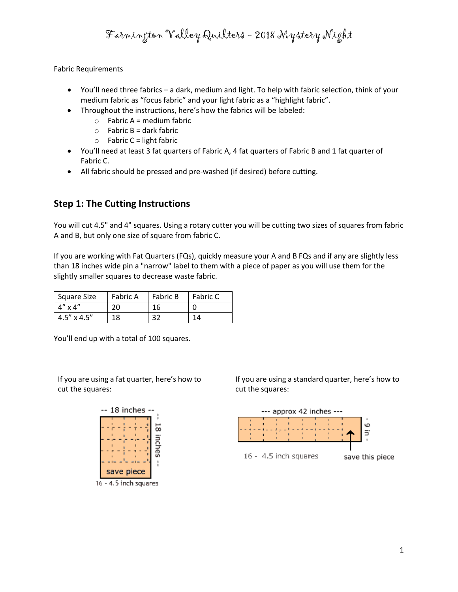Farmington Valley Quilters - 2018 Mystery Night

Fabric Requirements

- You'll need three fabrics a dark, medium and light. To help with fabric selection, think of your medium fabric as "focus fabric" and your light fabric as a "highlight fabric".
- Throughout the instructions, here's how the fabrics will be labeled:
	- $\circ$  Fabric A = medium fabric
	- $\circ$  Fabric B = dark fabric
	- $\circ$  Fabric C = light fabric
- You'll need at least 3 fat quarters of Fabric A, 4 fat quarters of Fabric B and 1 fat quarter of Fabric C.
- All fabric should be pressed and pre-washed (if desired) before cutting.

#### **Step 1: The Cutting Instructions**

You will cut 4.5" and 4" squares. Using a rotary cutter you will be cutting two sizes of squares from fabric A and B, but only one size of square from fabric C.

If you are working with Fat Quarters (FQs), quickly measure your A and B FQs and if any are slightly less than 18 inches wide pin a "narrow" label to them with a piece of paper as you will use them for the slightly smaller squares to decrease waste fabric.

| Square Size          | <b>Fabric A</b> | <b>Fabric B</b> | <b>Fabric C</b> |
|----------------------|-----------------|-----------------|-----------------|
| $4'' \times 4''$     | 20              | 16              |                 |
| $4.5'' \times 4.5''$ | 18              | 32              | 14              |

You'll end up with a total of 100 squares.

If you are using a fat quarter, here's how to cut the squares:



If you are using a standard quarter, here's how to cut the squares:



1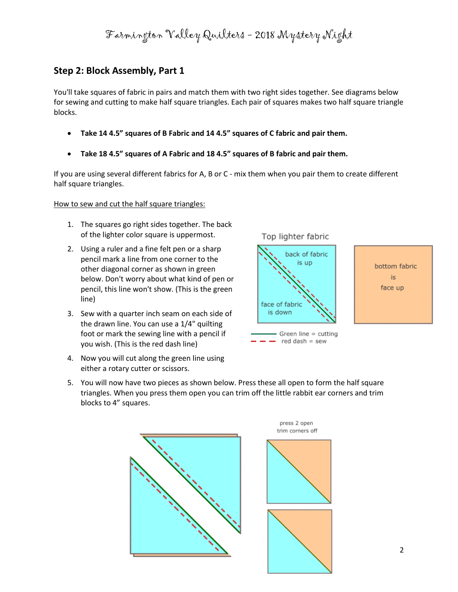Farmington Valley Quilters - 2018 Mystery Night

#### **Step 2: Block Assembly, Part 1**

You'll take squares of fabric in pairs and match them with two right sides together. See diagrams below for sewing and cutting to make half square triangles. Each pair of squares makes two half square triangle blocks.

- **Take 14 4.5" squares of B Fabric and 14 4.5" squares of C fabric and pair them.**
- **Take 18 4.5" squares of A Fabric and 18 4.5" squares of B fabric and pair them.**

If you are using several different fabrics for A, B or C - mix them when you pair them to create different half square triangles.

#### How to sew and cut the half square triangles:

- 1. The squares go right sides together. The back of the lighter color square is uppermost.
- 2. Using a ruler and a fine felt pen or a sharp pencil mark a line from one corner to the other diagonal corner as shown in green below. Don't worry about what kind of pen or pencil, this line won't show. (This is the green line)
- 3. Sew with a quarter inch seam on each side of the drawn line. You can use a 1/4" quilting foot or mark the sewing line with a pencil if you wish. (This is the red dash line)
- 4. Now you will cut along the green line using either a rotary cutter or scissors.



 $red$  dash = sew

bottom fabric is. face up

5. You will now have two pieces as shown below. Press these all open to form the half square triangles. When you press them open you can trim off the little rabbit ear corners and trim blocks to 4" squares.

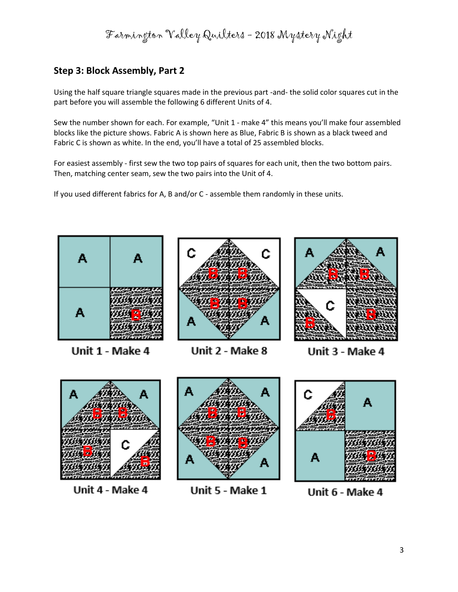Farmington Valley Quilters - 2018 Mystery Night

# **Step 3: Block Assembly, Part 2**

Using the half square triangle squares made in the previous part -and- the solid color squares cut in the part before you will assemble the following 6 different Units of 4.

Sew the number shown for each. For example, "Unit 1 - make 4" this means you'll make four assembled blocks like the picture shows. Fabric A is shown here as Blue, Fabric B is shown as a black tweed and Fabric C is shown as white. In the end, you'll have a total of 25 assembled blocks.

For easiest assembly - first sew the two top pairs of squares for each unit, then the two bottom pairs. Then, matching center seam, sew the two pairs into the Unit of 4.

If you used different fabrics for A, B and/or C - assemble them randomly in these units.



Unit 1 - Make 4



Unit 2 - Make 8



Unit 3 - Make 4



Unit 4 - Make 4



Unit 5 - Make 1



Unit 6 - Make 4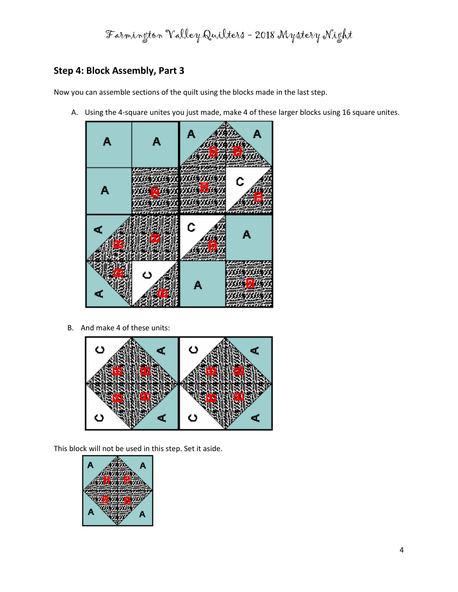Farmington Valley Quilters - 2018 Mystery Night

### **Step 4: Block Assembly, Part 3**

Now you can assemble sections of the quilt using the blocks made in the last step.

A. Using the 4-square unites you just made, make 4 of these larger blocks using 16 square unites.



B. And make 4 of these units:



This block will not be used in this step. Set it aside.

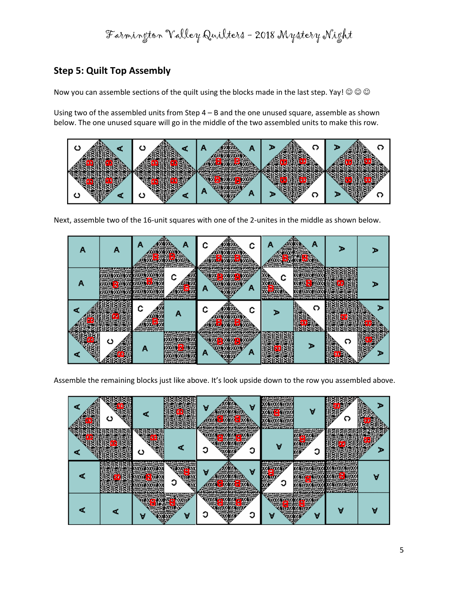Farmington Valley Quilters - 2018 Mystery Night

# **Step 5: Quilt Top Assembly**

Now you can assemble sections of the quilt using the blocks made in the last step. Yay!  $\circledcirc \circledcirc$ 

Using two of the assembled units from Step 4 – B and the one unused square, assemble as shown below. The one unused square will go in the middle of the two assembled units to make this row.



Next, assemble two of the 16-unit squares with one of the 2-unites in the middle as shown below.



Assemble the remaining blocks just like above. It's look upside down to the row you assembled above.